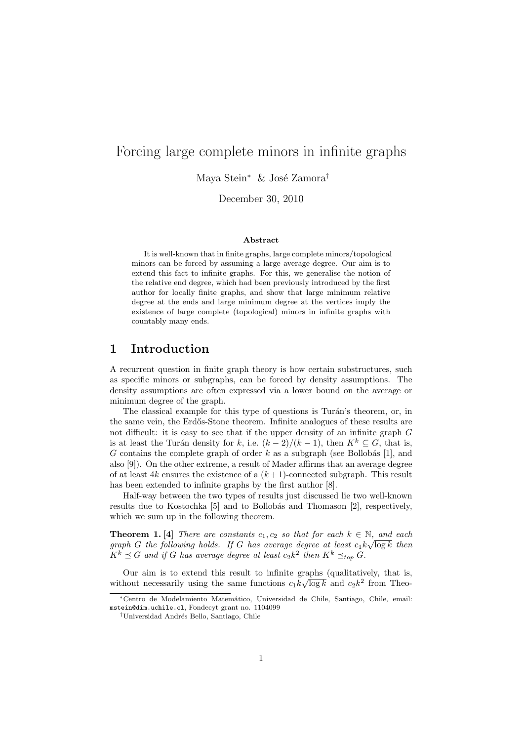# Forcing large complete minors in infinite graphs

Maya Stein<sup>∗</sup> & José Zamora<sup>†</sup>

December 30, 2010

#### Abstract

It is well-known that in finite graphs, large complete minors/topological minors can be forced by assuming a large average degree. Our aim is to extend this fact to infinite graphs. For this, we generalise the notion of the relative end degree, which had been previously introduced by the first author for locally finite graphs, and show that large minimum relative degree at the ends and large minimum degree at the vertices imply the existence of large complete (topological) minors in infinite graphs with countably many ends.

## 1 Introduction

A recurrent question in finite graph theory is how certain substructures, such as specific minors or subgraphs, can be forced by density assumptions. The density assumptions are often expressed via a lower bound on the average or minimum degree of the graph.

The classical example for this type of questions is Turán's theorem, or, in the same vein, the Erdős-Stone theorem. Infinite analogues of these results are not difficult: it is easy to see that if the upper density of an infinite graph G is at least the Turán density for k, i.e.  $(k-2)/(k-1)$ , then  $K^k \subseteq G$ , that is, G contains the complete graph of order  $k$  as a subgraph (see Bollobás [1], and also [9]). On the other extreme, a result of Mader affirms that an average degree of at least 4k ensures the existence of a  $(k+1)$ -connected subgraph. This result has been extended to infinite graphs by the first author [8].

Half-way between the two types of results just discussed lie two well-known results due to Kostochka [5] and to Bollobás and Thomason [2], respectively, which we sum up in the following theorem.

**Theorem 1.** [4] There are constants  $c_1, c_2$  so that for each  $k \in \mathbb{N}$ , and each graph G the following holds. If G has average degree at least  $c_1k\sqrt{\log k}$  then  $K^k \preceq G$  and if G has average degree at least  $c_2 k^2$  then  $K^k \preceq_{top} G$ .

Our aim is to extend this result to infinite graphs (qualitatively, that is, without necessarily using the same functions  $c_1 k \sqrt{\log k}$  and  $c_2 k^2$  from Theo-

<sup>∗</sup>Centro de Modelamiento Matem´atico, Universidad de Chile, Santiago, Chile, email: mstein@dim.uchile.cl, Fondecyt grant no. 1104099

<sup>&</sup>lt;sup>†</sup>Universidad Andrés Bello, Santiago, Chile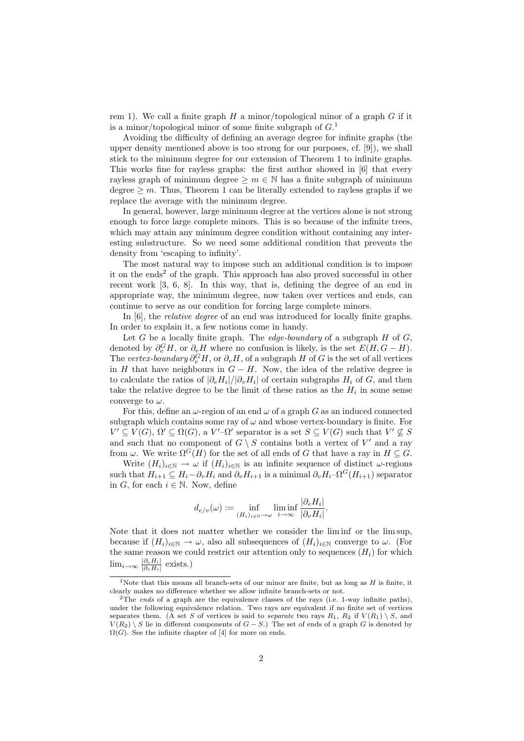rem 1). We call a finite graph  $H$  a minor/topological minor of a graph  $G$  if it is a minor/topological minor of some finite subgraph of  $G<sup>1</sup>$ 

Avoiding the difficulty of defining an average degree for infinite graphs (the upper density mentioned above is too strong for our purposes, cf. [9]), we shall stick to the minimum degree for our extension of Theorem 1 to infinite graphs. This works fine for rayless graphs: the first author showed in [6] that every rayless graph of minimum degree  $\geq m \in \mathbb{N}$  has a finite subgraph of minimum degree  $\geq m$ . Thus, Theorem 1 can be literally extended to rayless graphs if we replace the average with the minimum degree.

In general, however, large minimum degree at the vertices alone is not strong enough to force large complete minors. This is so because of the infinite trees, which may attain any minimum degree condition without containing any interesting substructure. So we need some additional condition that prevents the density from 'escaping to infinity'.

The most natural way to impose such an additional condition is to impose it on the ends<sup>2</sup> of the graph. This approach has also proved successful in other recent work [3, 6, 8]. In this way, that is, defining the degree of an end in appropriate way, the minimum degree, now taken over vertices and ends, can continue to serve as our condition for forcing large complete minors.

In [6], the relative degree of an end was introduced for locally finite graphs. In order to explain it, a few notions come in handy.

Let  $G$  be a locally finite graph. The *edge-boundary* of a subgraph  $H$  of  $G$ , denoted by  $\partial_e^G H$ , or  $\partial_e H$  where no confusion is likely, is the set  $E(H, G - H)$ . The vertex-boundary  $\partial_v^G H$ , or  $\partial_v H$ , of a subgraph H of G is the set of all vertices in H that have neighbours in  $G - H$ . Now, the idea of the relative degree is to calculate the ratios of  $|\partial_e H_i|/|\partial_v H_i|$  of certain subgraphs  $H_i$  of G, and then take the relative degree to be the limit of these ratios as the  $H_i$  in some sense converge to  $\omega$ .

For this, define an  $\omega$ -region of an end  $\omega$  of a graph G as an induced connected subgraph which contains some ray of  $\omega$  and whose vertex-boundary is finite. For  $V' \subseteq V(G)$ ,  $\Omega' \subseteq \Omega(G)$ , a  $V'$ - $\Omega'$  separator is a set  $S \subseteq V(G)$  such that  $V' \nsubseteq S$ and such that no component of  $G \setminus S$  contains both a vertex of  $V'$  and a ray from  $\omega$ . We write  $\Omega^G(H)$  for the set of all ends of G that have a ray in  $H \subseteq G$ .

Write  $(H_i)_{i\in\mathbb{N}} \to \omega$  if  $(H_i)_{i\in\mathbb{N}}$  is an infinite sequence of distinct  $\omega$ -regions such that  $H_{i+1} \subseteq H_i - \partial_v H_i$  and  $\partial_v H_{i+1}$  is a minimal  $\partial_v H_i - \Omega^G(H_{i+1})$  separator in G, for each  $i \in \mathbb{N}$ . Now, define

$$
d_{e/v}(\omega) := \inf_{(H_i)_{i \in \mathbb{N}} \to \omega} \liminf_{i \to \infty} \frac{|\partial_e H_i|}{|\partial_v H_i|}.
$$

Note that it does not matter whether we consider the lim inf or the lim sup, because if  $(H_i)_{i\in\mathbb{N}}\to\omega$ , also all subsequences of  $(H_i)_{i\in\mathbb{N}}$  converge to  $\omega$ . (For the same reason we could restrict our attention only to sequences  $(H_i)$  for which  $\lim_{i\to\infty}\frac{|\partial_e H_i|}{|\partial_u H_i|}$  $\frac{|\partial_e H_i|}{|\partial_v H_i|}$  exists.)

<sup>&</sup>lt;sup>1</sup>Note that this means all branch-sets of our minor are finite, but as long as  $H$  is finite, it clearly makes no difference whether we allow infinite branch-sets or not.

<sup>&</sup>lt;sup>2</sup>The ends of a graph are the equivalence classes of the rays (i.e. 1-way infinite paths), under the following equivalence relation. Two rays are equivalent if no finite set of vertices separates them. (A set S of vertices is said to *separate* two rays  $R_1$ ,  $R_2$  if  $V(R_1) \setminus S$ , and  $V(R_2) \ S$  lie in different components of  $G - S$ .) The set of ends of a graph G is denoted by  $\Omega(G)$ . See the infinite chapter of [4] for more on ends.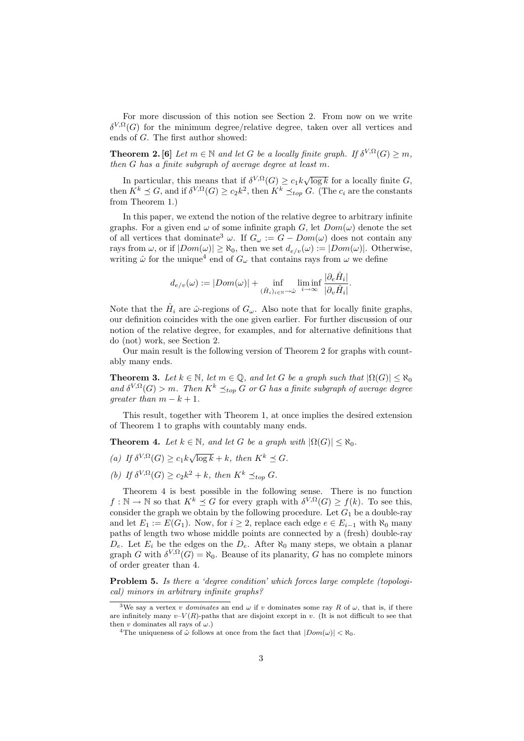For more discussion of this notion see Section 2. From now on we write  $\delta^{V,\Omega}(G)$  for the minimum degree/relative degree, taken over all vertices and ends of G. The first author showed:

**Theorem 2.** [6] Let  $m \in \mathbb{N}$  and let G be a locally finite graph. If  $\delta^{V,\Omega}(G) \geq m$ , then G has a finite subgraph of average degree at least m.

In particular, this means that if  $\delta^{V,\Omega}(G) \geq c_1 k \sqrt{\log k}$  for a locally finite G, then  $K^k \preceq G$ , and if  $\delta^{V,\Omega}(G) \geq c_2 k^2$ , then  $K^k \preceq_{top} G$ . (The  $c_i$  are the constants from Theorem 1.)

In this paper, we extend the notion of the relative degree to arbitrary infinite graphs. For a given end  $\omega$  of some infinite graph G, let  $Dom(\omega)$  denote the set of all vertices that dominate<sup>3</sup>  $\omega$ . If  $G_{\omega} := G - Dom(\omega)$  does not contain any rays from  $\omega$ , or if  $|Dom(\omega)| \ge \aleph_0$ , then we set  $d_{e/v}(\omega) := |Dom(\omega)|$ . Otherwise, writing  $\hat{\omega}$  for the unique<sup>4</sup> end of  $G_{\omega}$  that contains rays from  $\omega$  we define

$$
d_{e/v}(\omega) := |Dom(\omega)| + \inf_{(\hat{H}_i)_{i \in \mathbb{N}} \to \hat{\omega}} \liminf_{i \to \infty} \frac{|\partial_e \hat{H}_i|}{|\partial_v \hat{H}_i|}.
$$

Note that the  $\hat{H}_i$  are  $\hat{\omega}$ -regions of  $G_{\omega}$ . Also note that for locally finite graphs, our definition coincides with the one given earlier. For further discussion of our notion of the relative degree, for examples, and for alternative definitions that do (not) work, see Section 2.

Our main result is the following version of Theorem 2 for graphs with countably many ends.

**Theorem 3.** Let  $k \in \mathbb{N}$ , let  $m \in \mathbb{Q}$ , and let G be a graph such that  $|\Omega(G)| \leq \aleph_0$ and  $\delta^{V,\Omega}(G) > m$ . Then  $K^k \preceq_{top} G$  or G has a finite subgraph of average degree greater than  $m - k + 1$ .

This result, together with Theorem 1, at once implies the desired extension of Theorem 1 to graphs with countably many ends.

**Theorem 4.** Let  $k \in \mathbb{N}$ , and let G be a graph with  $|\Omega(G)| < \aleph_0$ .

- (a) If  $\delta^{V,\Omega}(G) \ge c_1 k \sqrt{\log k} + k$ , then  $K^k \preceq G$ .
- (b) If  $\delta^{V,\Omega}(G) \ge c_2 k^2 + k$ , then  $K^k \preceq_{top} G$ .

Theorem 4 is best possible in the following sense. There is no function  $f: \mathbb{N} \to \mathbb{N}$  so that  $K^k \preceq G$  for every graph with  $\delta^{V,\Omega}(G) \geq f(k)$ . To see this, consider the graph we obtain by the following procedure. Let  $G_1$  be a double-ray and let  $E_1 := E(G_1)$ . Now, for  $i \geq 2$ , replace each edge  $e \in E_{i-1}$  with  $\aleph_0$  many paths of length two whose middle points are connected by a (fresh) double-ray  $D_e$ . Let  $E_i$  be the edges on the  $D_e$ . After  $\aleph_0$  many steps, we obtain a planar graph G with  $\delta^{V,\Omega}(G) = \aleph_0$ . Beause of its planarity, G has no complete minors of order greater than 4.

**Problem 5.** Is there a 'degree condition' which forces large complete (topological) minors in arbitrary infinite graphs?

<sup>&</sup>lt;sup>3</sup>We say a vertex v dominates an end  $\omega$  if v dominates some ray R of  $\omega$ , that is, if there are infinitely many  $v-V(R)$ -paths that are disjoint except in v. (It is not difficult to see that then v dominates all rays of  $\omega$ .)

<sup>&</sup>lt;sup>4</sup>The uniqueness of  $\omega$  follows at once from the fact that  $|Dom(\omega)| < \aleph_0$ .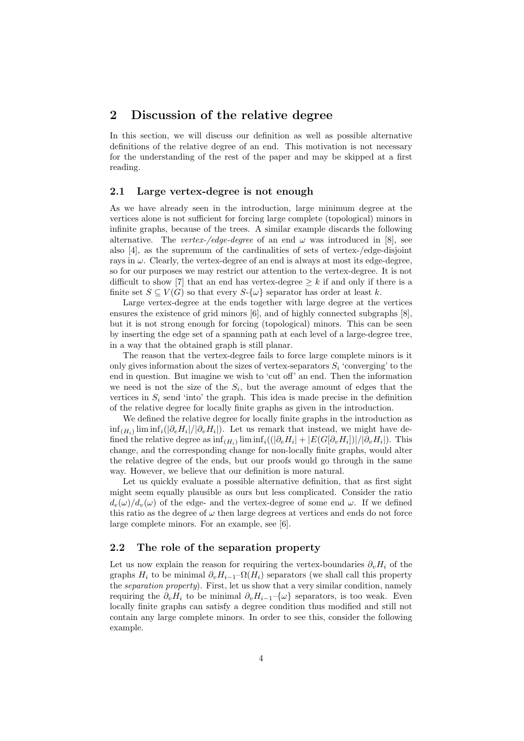## 2 Discussion of the relative degree

In this section, we will discuss our definition as well as possible alternative definitions of the relative degree of an end. This motivation is not necessary for the understanding of the rest of the paper and may be skipped at a first reading.

### 2.1 Large vertex-degree is not enough

As we have already seen in the introduction, large minimum degree at the vertices alone is not sufficient for forcing large complete (topological) minors in infinite graphs, because of the trees. A similar example discards the following alternative. The vertex-/edge-degree of an end  $\omega$  was introduced in [8], see also [4], as the supremum of the cardinalities of sets of vertex-/edge-disjoint rays in  $\omega$ . Clearly, the vertex-degree of an end is always at most its edge-degree, so for our purposes we may restrict our attention to the vertex-degree. It is not difficult to show [7] that an end has vertex-degree  $\geq k$  if and only if there is a finite set  $S \subseteq V(G)$  so that every  $S-\{\omega\}$  separator has order at least k.

Large vertex-degree at the ends together with large degree at the vertices ensures the existence of grid minors [6], and of highly connected subgraphs [8], but it is not strong enough for forcing (topological) minors. This can be seen by inserting the edge set of a spanning path at each level of a large-degree tree, in a way that the obtained graph is still planar.

The reason that the vertex-degree fails to force large complete minors is it only gives information about the sizes of vertex-separators  $S_i$  'converging' to the end in question. But imagine we wish to 'cut off' an end. Then the information we need is not the size of the  $S_i$ , but the average amount of edges that the vertices in  $S_i$  send 'into' the graph. This idea is made precise in the definition of the relative degree for locally finite graphs as given in the introduction.

We defined the relative degree for locally finite graphs in the introduction as  $\inf_{(H_i)} \liminf_i (|\partial_e H_i|/|\partial_v H_i|)$ . Let us remark that instead, we might have defined the relative degree as  $\inf_{(H_i)} \liminf_i ((|\partial_e H_i| + |E(G[\partial_v H_i])|/|\partial_v H_i|)$ . This change, and the corresponding change for non-locally finite graphs, would alter the relative degree of the ends, but our proofs would go through in the same way. However, we believe that our definition is more natural.

Let us quickly evaluate a possible alternative definition, that as first sight might seem equally plausible as ours but less complicated. Consider the ratio  $d_e(\omega)/d_v(\omega)$  of the edge- and the vertex-degree of some end  $\omega$ . If we defined this ratio as the degree of  $\omega$  then large degrees at vertices and ends do not force large complete minors. For an example, see [6].

### 2.2 The role of the separation property

Let us now explain the reason for requiring the vertex-boundaries  $\partial_{\nu}H_i$  of the graphs  $H_i$  to be minimal  $\partial_v H_{i-1}$ – $\Omega(H_i)$  separators (we shall call this property the separation property). First, let us show that a very similar condition, namely requiring the  $\partial_v H_i$  to be minimal  $\partial_v H_{i-1}$ –{ $\omega$ } separators, is too weak. Even locally finite graphs can satisfy a degree condition thus modified and still not contain any large complete minors. In order to see this, consider the following example.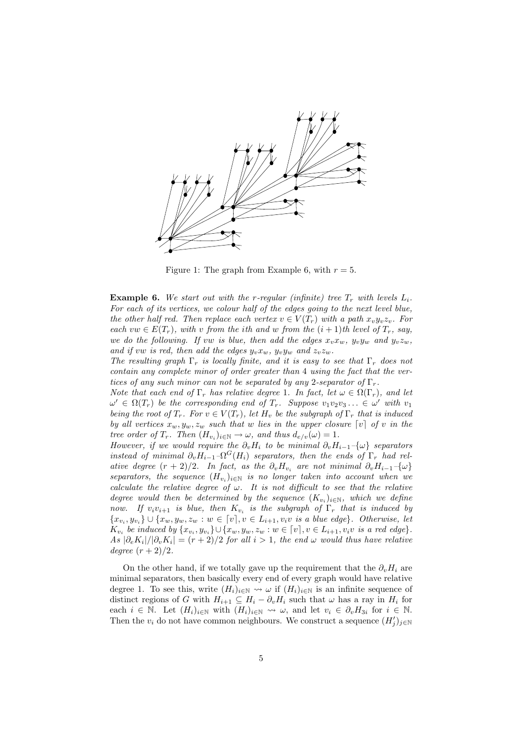

Figure 1: The graph from Example 6, with  $r = 5$ .

**Example 6.** We start out with the r-regular (infinite) tree  $T_r$  with levels  $L_i$ . For each of its vertices, we colour half of the edges going to the next level blue, the other half red. Then replace each vertex  $v \in V(T_r)$  with a path  $x_v y_v z_v$ . For each vw  $\in E(T_r)$ , with v from the ith and w from the  $(i + 1)$ th level of  $T_r$ , say, we do the following. If vw is blue, then add the edges  $x_vx_w$ ,  $y_vy_w$  and  $y_vz_w$ , and if vw is red, then add the edges  $y_v x_w$ ,  $y_v y_w$  and  $z_v z_w$ .

The resulting graph  $\Gamma_r$  is locally finite, and it is easy to see that  $\Gamma_r$  does not contain any complete minor of order greater than 4 using the fact that the vertices of any such minor can not be separated by any 2-separator of  $\Gamma_r$ .

Note that each end of  $\Gamma_r$  has relative degree 1. In fact, let  $\omega \in \Omega(\Gamma_r)$ , and let  $\omega' \in \Omega(T_r)$  be the corresponding end of  $T_r$ . Suppose  $v_1v_2v_3 \ldots \in \omega'$  with  $v_1$ being the root of  $T_r$ . For  $v \in V(T_r)$ , let  $H_v$  be the subgraph of  $\Gamma_r$  that is induced by all vertices  $x_w, y_w, z_w$  such that w lies in the upper closure  $\lceil v \rceil$  of v in the tree order of  $T_r$ . Then  $(H_{v_i})_{i\in\mathbb{N}} \to \omega$ , and thus  $d_{e/v}(\omega) = 1$ .

However, if we would require the  $\partial_v H_i$  to be minimal  $\partial_v H_{i-1}-\{\omega\}$  separators instead of minimal  $\partial_v H_{i-1} \neg \Omega^G(H_i)$  separators, then the ends of  $\Gamma_r$  had relative degree  $(r + 2)/2$ . In fact, as the  $\partial_v H_{v_i}$  are not minimal  $\partial_v H_{i-1} - \{\omega\}$ separators, the sequence  $(H_{v_i})_{i\in\mathbb{N}}$  is no longer taken into account when we calculate the relative degree of  $\omega$ . It is not difficult to see that the relative degree would then be determined by the sequence  $(K_{v_i})_{i\in\mathbb{N}}$ , which we define now. If  $v_i v_{i+1}$  is blue, then  $K_{v_i}$  is the subgraph of  $\Gamma_r$  that is induced by  ${x_{v_i}, y_{v_i}} \cup {x_w, y_w, z_w : w \in [v], v \in L_{i+1}, v_i v \text{ is a blue edge}}$ . Otherwise, let  $K_{v_i}$  be induced by  $\{x_{v_i}, y_{v_i}\} \cup \{x_w, y_w, z_w : w \in [v], v \in L_{i+1}, v_i v \text{ is a red edge}\}.$  $As |\partial_e K_i|/|\partial_v K_i| = (r+2)/2$  for all  $i > 1$ , the end  $\omega$  would thus have relative degree  $(r+2)/2$ .

On the other hand, if we totally gave up the requirement that the  $\partial_{\nu}H_i$  are minimal separators, then basically every end of every graph would have relative degree 1. To see this, write  $(H_i)_{i\in\mathbb{N}} \leadsto \omega$  if  $(H_i)_{i\in\mathbb{N}}$  is an infinite sequence of distinct regions of G with  $H_{i+1} \subseteq H_i - \partial_v H_i$  such that  $\omega$  has a ray in  $H_i$  for each  $i \in \mathbb{N}$ . Let  $(H_i)_{i\in\mathbb{N}}$  with  $(H_i)_{i\in\mathbb{N}} \rightsquigarrow \omega$ , and let  $v_i \in \partial_v H_{3i}$  for  $i \in \mathbb{N}$ . Then the  $v_i$  do not have common neighbours. We construct a sequence  $(H'_j)_{j\in\mathbb{N}}$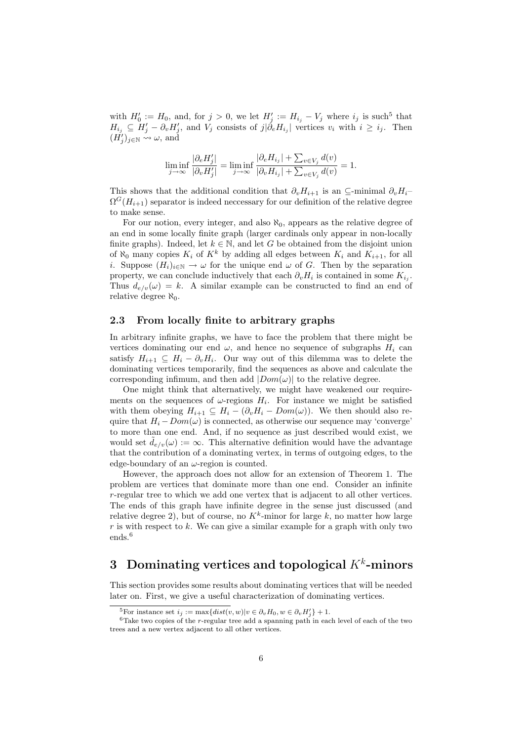with  $H'_0 := H_0$ , and, for  $j > 0$ , we let  $H'_j := H_{i_j} - V_j$  where  $i_j$  is such<sup>5</sup> that  $H_{i_j} \subseteq H'_j - \partial_v H'_j$ , and  $V_j$  consists of  $j | \partial_e H_{i_j} |$  vertices  $v_i$  with  $i \geq i_j$ . Then  $(\vec{H}_j')_{j\in\mathbb{N}} \leadsto \omega$ , and

$$
\liminf_{j \to \infty} \frac{|\partial_e H_j'|}{|\partial_v H_j'|} = \liminf_{j \to \infty} \frac{|\partial_e H_{i_j}| + \sum_{v \in V_j} d(v)}{|\partial_v H_{i_j}| + \sum_{v \in V_j} d(v)} = 1.
$$

This shows that the additional condition that  $\partial_v H_{i+1}$  is an ⊆-minimal  $\partial_v H_i$  $\Omega^G(H_{i+1})$  separator is indeed neccessary for our definition of the relative degree to make sense.

For our notion, every integer, and also  $\aleph_0$ , appears as the relative degree of an end in some locally finite graph (larger cardinals only appear in non-locally finite graphs). Indeed, let  $k \in \mathbb{N}$ , and let G be obtained from the disjoint union of  $\aleph_0$  many copies  $K_i$  of  $K^k$  by adding all edges between  $K_i$  and  $K_{i+1}$ , for all i. Suppose  $(H_i)_{i\in\mathbb{N}} \to \omega$  for the unique end  $\omega$  of G. Then by the separation property, we can conclude inductively that each  $\partial_v H_i$  is contained in some  $K_{i_j}$ . Thus  $d_{e/v}(\omega) = k$ . A similar example can be constructed to find an end of relative degree  $\aleph_0$ .

#### 2.3 From locally finite to arbitrary graphs

In arbitrary infinite graphs, we have to face the problem that there might be vertices dominating our end  $\omega$ , and hence no sequence of subgraphs  $H_i$  can satisfy  $H_{i+1} \subseteq H_i - \partial_v H_i$ . Our way out of this dilemma was to delete the dominating vertices temporarily, find the sequences as above and calculate the corresponding infimum, and then add  $|Dom(\omega)|$  to the relative degree.

One might think that alternatively, we might have weakened our requirements on the sequences of  $\omega$ -regions  $H_i$ . For instance we might be satisfied with them obeying  $H_{i+1} \subseteq H_i - (\partial_v H_i - Dom(\omega))$ . We then should also require that  $H_i - Dom(\omega)$  is connected, as otherwise our sequence may 'converge' to more than one end. And, if no sequence as just described would exist, we would set  $\tilde{d}_{e/v}(\omega) := \infty$ . This alternative definition would have the advantage that the contribution of a dominating vertex, in terms of outgoing edges, to the edge-boundary of an  $\omega$ -region is counted.

However, the approach does not allow for an extension of Theorem 1. The problem are vertices that dominate more than one end. Consider an infinite r-regular tree to which we add one vertex that is adjacent to all other vertices. The ends of this graph have infinite degree in the sense just discussed (and relative degree 2), but of course, no  $K^k$ -minor for large k, no matter how large r is with respect to k. We can give a similar example for a graph with only two ends.<sup>6</sup>

## 3 Dominating vertices and topological  $K^k$ -minors

This section provides some results about dominating vertices that will be needed later on. First, we give a useful characterization of dominating vertices.

<sup>&</sup>lt;sup>5</sup>For instance set  $i_j := \max\{dist(v, w)|v \in \partial_v H_0, w \in \partial_v H'_j\} + 1.$ 

 $6$ Take two copies of the r-regular tree add a spanning path in each level of each of the two trees and a new vertex adjacent to all other vertices.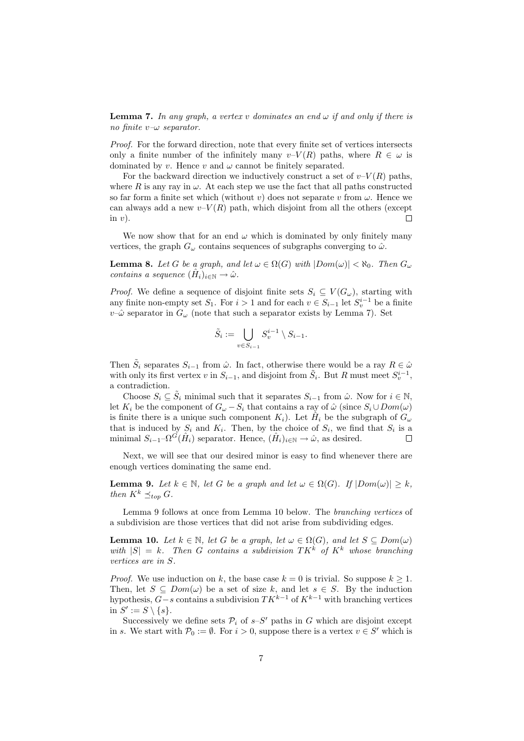**Lemma 7.** In any graph, a vertex v dominates an end  $\omega$  if and only if there is no finite  $v-\omega$  separator.

Proof. For the forward direction, note that every finite set of vertices intersects only a finite number of the infinitely many  $v-V(R)$  paths, where  $R \in \omega$  is dominated by v. Hence v and  $\omega$  cannot be finitely separated.

For the backward direction we inductively construct a set of  $v-V(R)$  paths, where R is any ray in  $\omega$ . At each step we use the fact that all paths constructed so far form a finite set which (without v) does not separate v from  $\omega$ . Hence we can always add a new  $v-V(R)$  path, which disjoint from all the others (except in  $v$ ).  $\Box$ 

We now show that for an end  $\omega$  which is dominated by only finitely many vertices, the graph  $G_{\omega}$  contains sequences of subgraphs converging to  $\hat{\omega}$ .

**Lemma 8.** Let G be a graph, and let  $\omega \in \Omega(G)$  with  $|Dom(\omega)| < \aleph_0$ . Then  $G_{\omega}$ contains a sequence  $(\hat{H}_i)_{i \in \mathbb{N}} \to \hat{\omega}$ .

*Proof.* We define a sequence of disjoint finite sets  $S_i \subseteq V(G_\omega)$ , starting with any finite non-empty set  $S_1$ . For  $i > 1$  and for each  $v \in S_{i-1}$  let  $S_v^{i-1}$  be a finite  $v-\hat{\omega}$  separator in  $G_{\omega}$  (note that such a separator exists by Lemma 7). Set

$$
\tilde{S}_i := \bigcup_{v \in S_{i-1}} S_v^{i-1} \setminus S_{i-1}.
$$

Then  $\tilde{S}_i$  separates  $S_{i-1}$  from  $\hat{\omega}$ . In fact, otherwise there would be a ray  $R \in \hat{\omega}$ with only its first vertex v in  $S_{i-1}$ , and disjoint from  $\tilde{S}_i$ . But R must meet  $S_v^{i-1}$ , a contradiction.

Choose  $S_i \subseteq \tilde{S}_i$  minimal such that it separates  $S_{i-1}$  from  $\hat{\omega}$ . Now for  $i \in \mathbb{N}$ , let  $K_i$  be the component of  $G_{\omega} - S_i$  that contains a ray of  $\hat{\omega}$  (since  $S_i \cup Dom(\omega)$ ) is finite there is a unique such component  $K_i$ ). Let  $\hat{H}_i$  be the subgraph of  $G_{\omega}$ that is induced by  $S_i$  and  $K_i$ . Then, by the choice of  $S_i$ , we find that  $S_i$  is a minimal  $S_{i-1}$ - $\Omega^{\tilde{G}}(\hat{H}_i)$  separator. Hence,  $(\hat{H}_i)_{i \in \mathbb{N}} \to \hat{\omega}$ , as desired. Г

Next, we will see that our desired minor is easy to find whenever there are enough vertices dominating the same end.

**Lemma 9.** Let  $k \in \mathbb{N}$ , let G be a graph and let  $\omega \in \Omega(G)$ . If  $|Dom(\omega)| \geq k$ , then  $K^k \preceq_{top} G$ .

Lemma 9 follows at once from Lemma 10 below. The branching vertices of a subdivision are those vertices that did not arise from subdividing edges.

**Lemma 10.** Let  $k \in \mathbb{N}$ , let G be a graph, let  $\omega \in \Omega(G)$ , and let  $S \subseteq Dom(\omega)$ with  $|S| = k$ . Then G contains a subdivision  $TK^k$  of  $K^k$  whose branching vertices are in S.

*Proof.* We use induction on k, the base case  $k = 0$  is trivial. So suppose  $k \geq 1$ . Then, let  $S \subseteq Dom(\omega)$  be a set of size k, and let  $s \in S$ . By the induction hypothesis,  $G-s$  contains a subdivision  $TK^{k-1}$  of  $K^{k-1}$  with branching vertices in  $S' := S \setminus \{s\}.$ 

Successively we define sets  $\mathcal{P}_i$  of  $s-S'$  paths in G which are disjoint except in s. We start with  $\mathcal{P}_0 := \emptyset$ . For  $i > 0$ , suppose there is a vertex  $v \in S'$  which is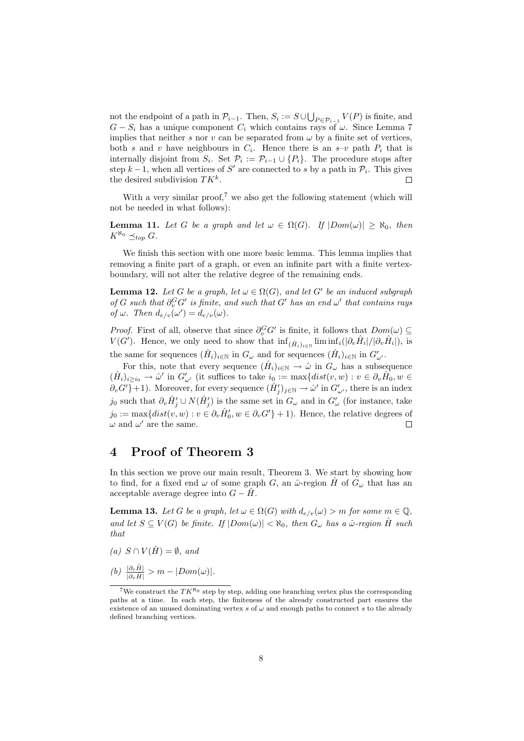not the endpoint of a path in  $\mathcal{P}_{i-1}$ . Then,  $S_i := S \cup \bigcup_{P \in \mathcal{P}_{i-1}} V(P)$  is finite, and  $G-S_i$  has a unique component  $C_i$  which contains rays of  $\omega$ . Since Lemma 7 implies that neither s nor v can be separated from  $\omega$  by a finite set of vertices, both s and v have neighbours in  $C_i$ . Hence there is an s-v path  $P_i$  that is internally disjoint from  $S_i$ . Set  $\mathcal{P}_i := \mathcal{P}_{i-1} \cup \{P_i\}$ . The procedure stops after step  $k-1$ , when all vertices of S' are connected to s by a path in  $\mathcal{P}_i$ . This gives the desired subdivision  $TK^k$ .  $\Box$ 

With a very similar proof,<sup>7</sup> we also get the following statement (which will not be needed in what follows):

**Lemma 11.** Let G be a graph and let  $\omega \in \Omega(G)$ . If  $|Dom(\omega)| \geq \aleph_0$ , then  $K^{\aleph_0} \preceq_{\text{top}} G$ .

We finish this section with one more basic lemma. This lemma implies that removing a finite part of a graph, or even an infinite part with a finite vertexboundary, will not alter the relative degree of the remaining ends.

**Lemma 12.** Let G be a graph, let  $\omega \in \Omega(G)$ , and let G' be an induced subgraph of G such that  $\partial_v^G G'$  is finite, and such that G' has an end  $\omega'$  that contains rays of  $\omega$ . Then  $d_{e/v}(\omega') = d_{e/v}(\omega)$ .

*Proof.* First of all, observe that since  $\partial_v^G G'$  is finite, it follows that  $Dom(\omega) \subseteq$  $V(G')$ . Hence, we only need to show that  $\inf_{(\hat{H}_i)_{i\in\mathbb{N}}} \liminf_{i(|\partial_e\hat{H}_i|/|\partial_v\hat{H}_i|)},$  is the same for sequences  $(\hat{H}_i)_{i \in \mathbb{N}}$  in  $G_\omega$  and for sequences  $(\hat{H}_i)_{i \in \mathbb{N}}$  in  $G'_{\omega'}$ .

For this, note that every sequence  $(\hat{H}_i)_{i \in \mathbb{N}} \to \hat{\omega}$  in  $G_{\omega}$  has a subsequence  $(\hat{H}_i)_{i\geq i_0}\to\hat{\omega}'$  in  $G'_{\omega'}$  (it suffices to take  $i_0:=\max\{dist(v,w):v\in\partial_v\hat{H}_0,w\in$  $\partial_v G'$ }+1). Moreover, for every sequence  $(\hat{H}'_j)_{j\in\mathbb{N}} \to \hat{\omega}'$  in  $G'_{\omega'}$ , there is an index j<sub>0</sub> such that  $\partial_v \hat{H}'_j \cup N(\hat{H}'_j)$  is the same set in  $G_\omega$  and in  $G'_\omega$  (for instance, take  $j_0 := \max\{dist(v, w) : v \in \partial_v \hat{H}'_0, w \in \partial_v G'\} + 1$ . Hence, the relative degrees of  $\omega$  and  $\omega'$  are the same. Е

## 4 Proof of Theorem 3

In this section we prove our main result, Theorem 3. We start by showing how to find, for a fixed end  $\omega$  of some graph G, an  $\hat{\omega}$ -region  $\hat{H}$  of  $G_{\omega}$  that has an acceptable average degree into  $G - H$ .

**Lemma 13.** Let G be a graph, let  $\omega \in \Omega(G)$  with  $d_{e/v}(\omega) > m$  for some  $m \in \mathbb{Q}$ , and let  $S \subseteq V(G)$  be finite. If  $|Dom(\omega)| < \aleph_0$ , then  $G_{\omega}$  has a  $\hat{\omega}$ -region  $\hat{H}$  such that

- (a)  $S \cap V(\hat{H}) = \emptyset$ , and
- $(b) \frac{|\partial_e \hat{H}|}{|\partial_v \hat{H}|} > m |Dom(\omega)|.$

<sup>&</sup>lt;sup>7</sup>We construct the  $TK^{\aleph_0}$  step by step, adding one branching vertex plus the corresponding paths at a time. In each step, the finiteness of the already constructed part ensures the existence of an unused dominating vertex  $s$  of  $\omega$  and enough paths to connect  $s$  to the already defined branching vertices.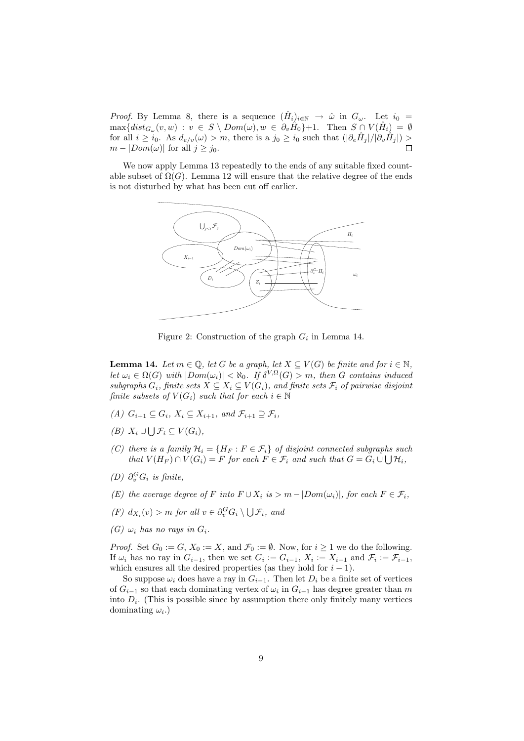*Proof.* By Lemma 8, there is a sequence  $(\hat{H}_i)_{i\in\mathbb{N}} \to \hat{\omega}$  in  $G_{\omega}$ . Let  $i_0 =$  $\max\{dist_{G_\omega}(v, w) : v \in S \setminus Dom(\omega), w \in \partial_v \hat{H}_0\}$  + 1. Then  $S \cap V(\hat{H}_i) = \emptyset$ for all  $i \geq i_0$ . As  $d_{e/v}(\omega) > m$ , there is a  $j_0 \geq i_0$  such that  $(|\partial_e \hat{H}_j|/|\partial_v \hat{H}_j|) >$  $m - |Dom(\omega)|$  for all  $j \geq j_0$ .

We now apply Lemma 13 repeatedly to the ends of any suitable fixed countable subset of  $\Omega(G)$ . Lemma 12 will ensure that the relative degree of the ends is not disturbed by what has been cut off earlier.



Figure 2: Construction of the graph  $G_i$  in Lemma 14.

**Lemma 14.** Let  $m \in \mathbb{Q}$ , let G be a graph, let  $X \subseteq V(G)$  be finite and for  $i \in \mathbb{N}$ , let  $\omega_i \in \Omega(G)$  with  $|Dom(\omega_i)| < \aleph_0$ . If  $\delta^{V,\Omega}(G) > m$ , then G contains induced subgraphs  $G_i$ , finite sets  $X \subseteq X_i \subseteq V(G_i)$ , and finite sets  $\mathcal{F}_i$  of pairwise disjoint finite subsets of  $V(G_i)$  such that for each  $i \in \mathbb{N}$ 

- (A)  $G_{i+1} \subset G_i$ ,  $X_i \subset X_{i+1}$ , and  $\mathcal{F}_{i+1} \supset \mathcal{F}_i$ ,
- $(B)$   $X_i \cup \bigcup \mathcal{F}_i \subseteq V(G_i),$
- (C) there is a family  $\mathcal{H}_i = \{H_F : F \in \mathcal{F}_i\}$  of disjoint connected subgraphs such that  $V(H_F) \cap V(G_i) = F$  for each  $F \in \mathcal{F}_i$  and such that  $G = G_i \cup \bigcup \mathcal{H}_i$ ,
- (D)  $\partial_v^G G_i$  is finite,
- (E) the average degree of F into  $F \cup X_i$  is  $> m |Dom(\omega_i)|$ , for each  $F \in \mathcal{F}_i$ ,
- $(F)$   $d_{X_i}(v) > m$  for all  $v \in \partial_v^G G_i \setminus \bigcup \mathcal{F}_i$ , and
- (G)  $\omega_i$  has no rays in  $G_i$ .

*Proof.* Set  $G_0 := G$ ,  $X_0 := X$ , and  $\mathcal{F}_0 := \emptyset$ . Now, for  $i \geq 1$  we do the following. If  $\omega_i$  has no ray in  $G_{i-1}$ , then we set  $G_i := G_{i-1}$ ,  $X_i := X_{i-1}$  and  $\mathcal{F}_i := \mathcal{F}_{i-1}$ , which ensures all the desired properties (as they hold for  $i - 1$ ).

So suppose  $\omega_i$  does have a ray in  $G_{i-1}$ . Then let  $D_i$  be a finite set of vertices of  $G_{i-1}$  so that each dominating vertex of  $\omega_i$  in  $G_{i-1}$  has degree greater than m into  $D_i$ . (This is possible since by assumption there only finitely many vertices dominating  $\omega_i$ .)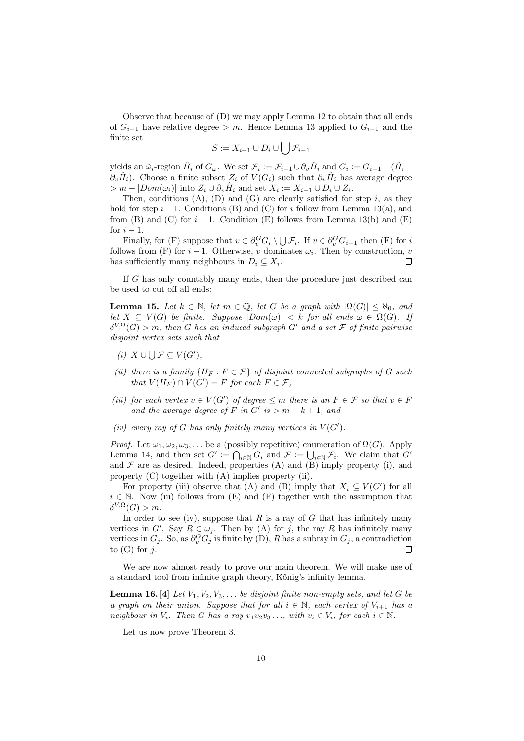Observe that because of (D) we may apply Lemma 12 to obtain that all ends of  $G_{i-1}$  have relative degree > m. Hence Lemma 13 applied to  $G_{i-1}$  and the finite set

$$
S := X_{i-1} \cup D_i \cup \bigcup \mathcal{F}_{i-1}
$$

yields an  $\hat{\omega}_i$ -region  $\hat{H}_i$  of  $G_{\omega}$ . We set  $\mathcal{F}_i := \mathcal{F}_{i-1} \cup \partial_v \hat{H}_i$  and  $G_i := G_{i-1} - (\hat{H}_i \hat{\partial}_{v}\hat{H}_{i}$ ). Choose a finite subset  $Z_{i}$  of  $V(G_{i})$  such that  $\partial_{v}\hat{H}_{i}$  has average degree  $> m - |Dom(\omega_i)|$  into  $Z_i \cup \partial_v \hat{H}_i$  and set  $X_i := X_{i-1} \cup D_i \cup Z_i$ .

Then, conditions  $(A)$ ,  $(D)$  and  $(G)$  are clearly satisfied for step i, as they hold for step  $i - 1$ . Conditions (B) and (C) for i follow from Lemma 13(a), and from (B) and (C) for  $i-1$ . Condition (E) follows from Lemma 13(b) and (E) for  $i - 1$ .

Finally, for (F) suppose that  $v \in \partial_v^G G_i \setminus \bigcup \mathcal{F}_i$ . If  $v \in \partial_v^G G_{i-1}$  then (F) for i follows from (F) for  $i-1$ . Otherwise, v dominates  $\omega_i$ . Then by construction, v has sufficiently many neighbours in  $D_i \subseteq X_i$ .  $\Box$ 

If G has only countably many ends, then the procedure just described can be used to cut off all ends:

**Lemma 15.** Let  $k \in \mathbb{N}$ , let  $m \in \mathbb{Q}$ , let G be a graph with  $|\Omega(G)| \leq \aleph_0$ , and let  $X \subseteq V(G)$  be finite. Suppose  $|Dom(\omega)| < k$  for all ends  $\omega \in \Omega(G)$ . If  $\delta^{V,\Omega}(G) > m$ , then G has an induced subgraph G' and a set F of finite pairwise disjoint vertex sets such that

- (i)  $X \cup \bigcup \mathcal{F} \subseteq V(G')$ ,
- (ii) there is a family  $\{H_F : F \in \mathcal{F}\}\$  of disjoint connected subgraphs of G such that  $V(H_F) \cap V(G') = F$  for each  $F \in \mathcal{F}$ ,
- (iii) for each vertex  $v \in V(G')$  of degree  $\leq m$  there is an  $F \in \mathcal{F}$  so that  $v \in F$ and the average degree of F in G' is  $>m - k + 1$ , and
- (iv) every ray of G has only finitely many vertices in  $V(G')$ .

*Proof.* Let  $\omega_1, \omega_2, \omega_3, \ldots$  be a (possibly repetitive) enumeration of  $\Omega(G)$ . Apply Lemma 14, and then set  $G' := \bigcap_{i \in \mathbb{N}} G_i$  and  $\mathcal{F} := \bigcup_{i \in \mathbb{N}} \mathcal{F}_i$ . We claim that  $G'$ and  $\mathcal F$  are as desired. Indeed, properties  $(A)$  and  $(B)$  imply property (i), and property (C) together with (A) implies property (ii).

For property (iii) observe that (A) and (B) imply that  $X_i \subseteq V(G')$  for all  $i \in \mathbb{N}$ . Now (iii) follows from (E) and (F) together with the assumption that  $\delta^{V,\Omega}(G) > m.$ 

In order to see (iv), suppose that R is a ray of G that has infinitely many vertices in G'. Say  $R \in \omega_j$ . Then by (A) for j, the ray R has infinitely many vertices in  $G_j$ . So, as  $\partial_v^G G_j$  is finite by (D), R has a subray in  $G_j$ , a contradiction to  $(G)$  for j.  $\Box$ 

We are now almost ready to prove our main theorem. We will make use of a standard tool from infinite graph theory, Kőnig's infinity lemma.

**Lemma 16.** [4] Let  $V_1, V_2, V_3, \ldots$  be disjoint finite non-empty sets, and let G be a graph on their union. Suppose that for all  $i \in \mathbb{N}$ , each vertex of  $V_{i+1}$  has a neighbour in  $V_i$ . Then G has a ray  $v_1v_2v_3\ldots$ , with  $v_i \in V_i$ , for each  $i \in \mathbb{N}$ .

Let us now prove Theorem 3.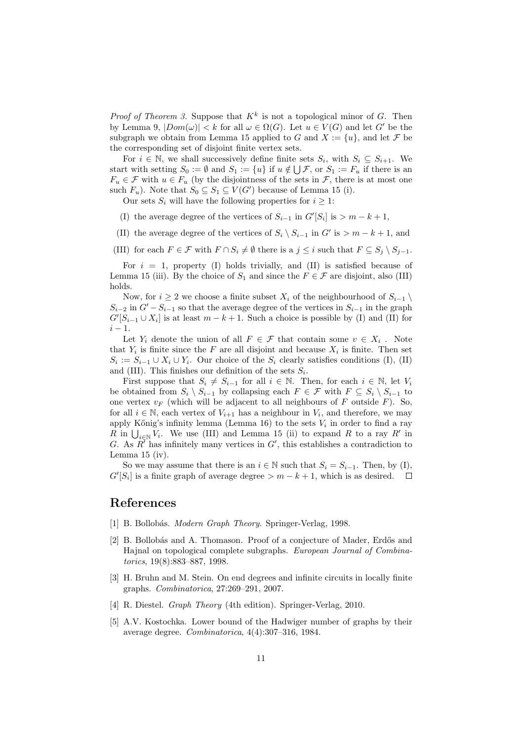*Proof of Theorem 3.* Suppose that  $K^k$  is not a topological minor of G. Then by Lemma 9,  $|Dom(\omega)| < k$  for all  $\omega \in \Omega(G)$ . Let  $u \in V(G)$  and let G' be the subgraph we obtain from Lemma 15 applied to G and  $X := \{u\}$ , and let F be the corresponding set of disjoint finite vertex sets.

For  $i \in \mathbb{N}$ , we shall successively define finite sets  $S_i$ , with  $S_i \subseteq S_{i+1}$ . We start with setting  $S_0 := \emptyset$  and  $S_1 := \{u\}$  if  $u \notin \bigcup \mathcal{F}$ , or  $S_1 := F_u$  if there is an  $F_u \in \mathcal{F}$  with  $u \in F_u$  (by the disjointness of the sets in  $\mathcal{F}$ , there is at most one such  $F_u$ ). Note that  $S_0 \subseteq S_1 \subseteq V(G')$  because of Lemma 15 (i).

Our sets  $S_i$  will have the following properties for  $i \geq 1$ :

- (I) the average degree of the vertices of  $S_{i-1}$  in  $G'[S_i]$  is  $> m k + 1$ ,
- (II) the average degree of the vertices of  $S_i \setminus S_{i-1}$  in  $G'$  is  $> m k + 1$ , and
- (III) for each  $F \in \mathcal{F}$  with  $F \cap S_i \neq \emptyset$  there is a  $j \leq i$  such that  $F \subseteq S_j \setminus S_{j-1}$ .

For  $i = 1$ , property (I) holds trivially, and (II) is satisfied because of Lemma 15 (iii). By the choice of  $S_1$  and since the  $F \in \mathcal{F}$  are disjoint, also (III) holds.

Now, for  $i \geq 2$  we choose a finite subset  $X_i$  of the neighbourhood of  $S_{i-1} \setminus$  $S_{i-2}$  in  $G'-S_{i-1}$  so that the average degree of the vertices in  $S_{i-1}$  in the graph  $G'[S_{i-1} \cup X_i]$  is at least  $m - k + 1$ . Such a choice is possible by (I) and (II) for  $i - 1$ 

Let  $Y_i$  denote the union of all  $F \in \mathcal{F}$  that contain some  $v \in X_i$ . Note that  $Y_i$  is finite since the F are all disjoint and because  $X_i$  is finite. Then set  $S_i := S_{i-1} \cup X_i \cup Y_i$ . Our choice of the  $S_i$  clearly satisfies conditions (I), (II) and (III). This finishes our definition of the sets  $S_i$ .

First suppose that  $S_i \neq S_{i-1}$  for all  $i \in \mathbb{N}$ . Then, for each  $i \in \mathbb{N}$ , let  $V_i$ be obtained from  $S_i \setminus S_{i-1}$  by collapsing each  $F \in \mathcal{F}$  with  $F \subseteq S_i \setminus S_{i-1}$  to one vertex  $v_F$  (which will be adjacent to all neighbours of F outside F). So, for all  $i \in \mathbb{N}$ , each vertex of  $V_{i+1}$  has a neighbour in  $V_i$ , and therefore, we may apply Kőnig's infinity lemma (Lemma 16) to the sets  $V_i$  in order to find a ray R in  $\bigcup_{i\in\mathbb{N}}V_i$ . We use (III) and Lemma 15 (ii) to expand R to a ray R' in G. As  $\overline{R'}$  has infinitely many vertices in  $G'$ , this establishes a contradiction to Lemma 15 (iv).

So we may assume that there is an  $i \in \mathbb{N}$  such that  $S_i = S_{i-1}$ . Then, by (I),  $G'[S_i]$  is a finite graph of average degree  $>m-k+1$ , which is as desired.  $\Box$ 

### References

- [1] B. Bollobás. Modern Graph Theory. Springer-Verlag, 1998.
- [2] B. Bollobás and A. Thomason. Proof of a conjecture of Mader, Erdős and Hajnal on topological complete subgraphs. European Journal of Combinatorics, 19(8):883–887, 1998.
- [3] H. Bruhn and M. Stein. On end degrees and infinite circuits in locally finite graphs. Combinatorica, 27:269–291, 2007.
- [4] R. Diestel. Graph Theory (4th edition). Springer-Verlag, 2010.
- [5] A.V. Kostochka. Lower bound of the Hadwiger number of graphs by their average degree. Combinatorica, 4(4):307–316, 1984.